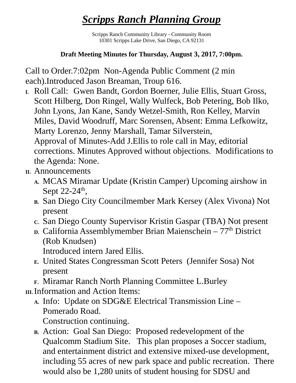## *Scripps Ranch Planning Group*

Scripps Ranch Community Library - Community Room 10301 Scripps Lake Drive, San Diego, CA 92131

## **Draft Meeting Minutes for Thursday, August 3, 2017, 7:00pm.**

Call to Order.7:02pm Non-Agenda Public Comment (2 min each).Introduced Jason Breaman, Troup 616.

- **I.** Roll Call: Gwen Bandt, Gordon Boerner, Julie Ellis, Stuart Gross, Scott Hilberg, Don Ringel, Wally Wulfeck, Bob Petering, Bob Ilko, John Lyons, Jan Kane, Sandy Wetzel-Smith, Ron Kelley, Marvin Miles, David Woodruff, Marc Sorensen, Absent: Emma Lefkowitz, Marty Lorenzo, Jenny Marshall, Tamar Silverstein, Approval of Minutes-Add J.Ellis to role call in May, editorial corrections. Minutes Approved without objections. Modifications to the Agenda: None.
- **II.** Announcements
	- **A.** MCAS Miramar Update (Kristin Camper) Upcoming airshow in Sept  $22-24$ <sup>th</sup>,
	- **B.** San Diego City Councilmember Mark Kersey (Alex Vivona) Not present
	- **C.** San Diego County Supervisor Kristin Gaspar (TBA) Not present
	- **D.** California Assemblymember Brian Maienschein 77<sup>th</sup> District (Rob Knudsen)

Introduced intern Jared Ellis.

- **E.** United States Congressman Scott Peters (Jennifer Sosa) Not present
- **F.** Miramar Ranch North Planning Committee L.Burley
- **III.**Information and Action Items:
	- **A.** Info: Update on SDG&E Electrical Transmission Line Pomerado Road.

Construction continuing.

**B.** Action: Goal San Diego: Proposed redevelopment of the Qualcomm Stadium Site. This plan proposes a Soccer stadium, and entertainment district and extensive mixed-use development, including 55 acres of new park space and public recreation. There would also be 1,280 units of student housing for SDSU and